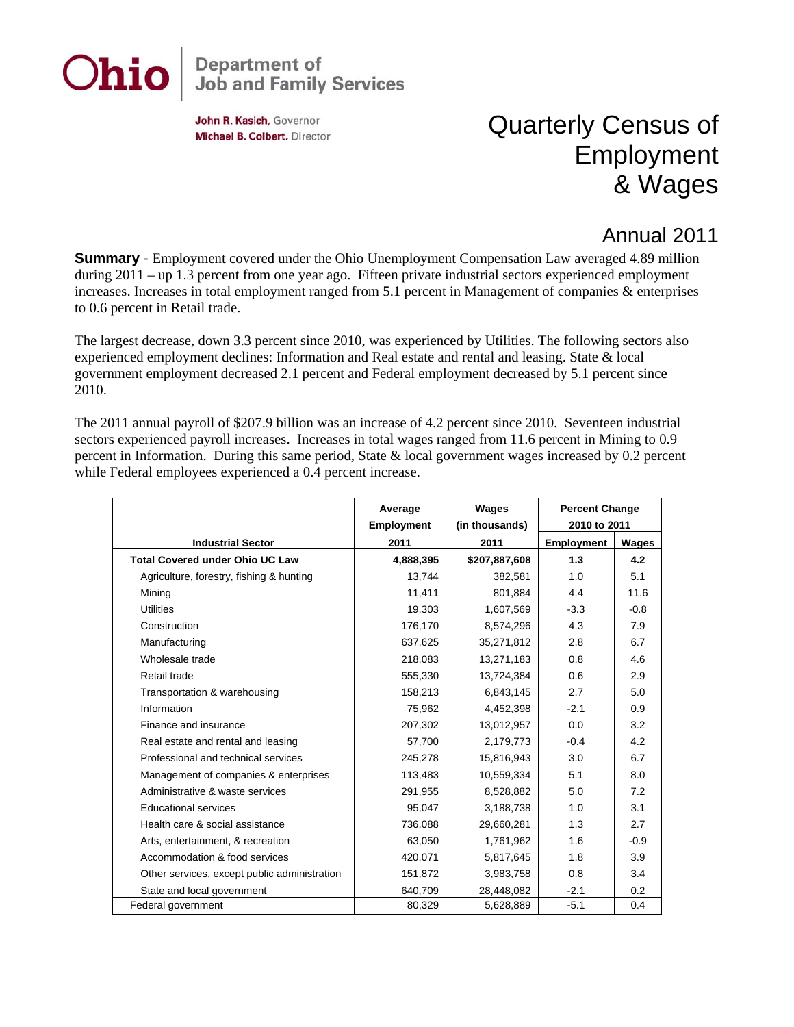# Ohio

## **Department of<br>Job and Family Services**

John R. Kasich, Governor Michael B. Colbert, Director

### Quarterly Census of Employment & Wages

#### Annual 2011

**Summary** - Employment covered under the Ohio Unemployment Compensation Law averaged 4.89 million during 2011 – up 1.3 percent from one year ago. Fifteen private industrial sectors experienced employment increases. Increases in total employment ranged from 5.1 percent in Management of companies & enterprises to 0.6 percent in Retail trade.

The largest decrease, down 3.3 percent since 2010, was experienced by Utilities. The following sectors also experienced employment declines: Information and Real estate and rental and leasing. State & local government employment decreased 2.1 percent and Federal employment decreased by 5.1 percent since 2010.

The 2011 annual payroll of \$207.9 billion was an increase of 4.2 percent since 2010. Seventeen industrial sectors experienced payroll increases. Increases in total wages ranged from 11.6 percent in Mining to 0.9 percent in Information. During this same period, State & local government wages increased by 0.2 percent while Federal employees experienced a 0.4 percent increase.

|                                              | Average    | Wages          | <b>Percent Change</b> |        |
|----------------------------------------------|------------|----------------|-----------------------|--------|
|                                              | Employment | (in thousands) | 2010 to 2011          |        |
| <b>Industrial Sector</b>                     | 2011       | 2011           | <b>Employment</b>     | Wages  |
| <b>Total Covered under Ohio UC Law</b>       | 4,888,395  | \$207,887,608  | 1.3                   | 4.2    |
| Agriculture, forestry, fishing & hunting     | 13.744     | 382,581        | 1.0                   | 5.1    |
| Mining                                       | 11,411     | 801,884        | 4.4                   | 11.6   |
| <b>Utilities</b>                             | 19,303     | 1,607,569      | $-3.3$                | $-0.8$ |
| Construction                                 | 176,170    | 8,574,296      | 4.3                   | 7.9    |
| Manufacturing                                | 637,625    | 35,271,812     | 2.8                   | 6.7    |
| Wholesale trade                              | 218,083    | 13,271,183     | 0.8                   | 4.6    |
| Retail trade                                 | 555,330    | 13,724,384     | 0.6                   | 2.9    |
| Transportation & warehousing                 | 158,213    | 6,843,145      | 2.7                   | 5.0    |
| Information                                  | 75,962     | 4,452,398      | $-2.1$                | 0.9    |
| Finance and insurance                        | 207,302    | 13,012,957     | 0.0                   | 3.2    |
| Real estate and rental and leasing           | 57,700     | 2,179,773      | $-0.4$                | 4.2    |
| Professional and technical services          | 245,278    | 15,816,943     | 3.0                   | 6.7    |
| Management of companies & enterprises        | 113,483    | 10,559,334     | 5.1                   | 8.0    |
| Administrative & waste services              | 291,955    | 8,528,882      | 5.0                   | 7.2    |
| <b>Educational services</b>                  | 95,047     | 3,188,738      | 1.0                   | 3.1    |
| Health care & social assistance              | 736,088    | 29,660,281     | 1.3                   | 2.7    |
| Arts, entertainment, & recreation            | 63,050     | 1,761,962      | 1.6                   | $-0.9$ |
| Accommodation & food services                | 420,071    | 5,817,645      | 1.8                   | 3.9    |
| Other services, except public administration | 151,872    | 3,983,758      | 0.8                   | 3.4    |
| State and local government                   | 640,709    | 28,448,082     | $-2.1$                | 0.2    |
| Federal government                           | 80,329     | 5,628,889      | $-5.1$                | 0.4    |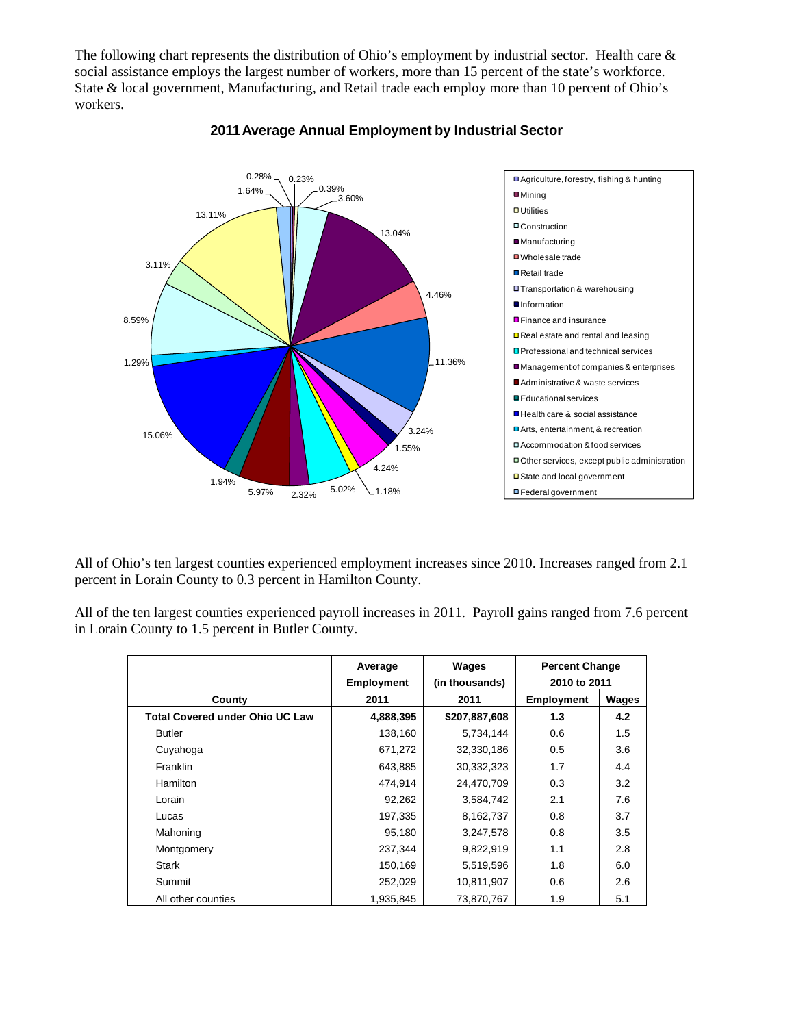The following chart represents the distribution of Ohio's employment by industrial sector. Health care & social assistance employs the largest number of workers, more than 15 percent of the state's workforce. State & local government, Manufacturing, and Retail trade each employ more than 10 percent of Ohio's workers.



#### **2011 Average Annual Employment by Industrial Sector**

All of Ohio's ten largest counties experienced employment increases since 2010. Increases ranged from 2.1 percent in Lorain County to 0.3 percent in Hamilton County.

All of the ten largest counties experienced payroll increases in 2011. Payroll gains ranged from 7.6 percent in Lorain County to 1.5 percent in Butler County.

|                                        | Average<br><b>Employment</b> | Wages<br>(in thousands) | <b>Percent Change</b><br>2010 to 2011 |       |
|----------------------------------------|------------------------------|-------------------------|---------------------------------------|-------|
| County                                 | 2011                         | 2011                    | <b>Employment</b>                     | Wages |
| <b>Total Covered under Ohio UC Law</b> | 4,888,395                    | \$207,887,608           | 1.3                                   | 4.2   |
| <b>Butler</b>                          | 138,160                      | 5,734,144               | 0.6                                   | 1.5   |
| Cuyahoga                               | 671,272                      | 32,330,186              | 0.5                                   | 3.6   |
| Franklin                               | 643,885                      | 30,332,323              | 1.7                                   | 4.4   |
| Hamilton                               | 474,914                      | 24,470,709              | 0.3                                   | 3.2   |
| Lorain                                 | 92,262                       | 3,584,742               | 2.1                                   | 7.6   |
| Lucas                                  | 197,335                      | 8,162,737               | 0.8                                   | 3.7   |
| Mahoning                               | 95,180                       | 3,247,578               | 0.8                                   | 3.5   |
| Montgomery                             | 237,344                      | 9,822,919               | 1.1                                   | 2.8   |
| Stark                                  | 150,169                      | 5,519,596               | 1.8                                   | 6.0   |
| Summit                                 | 252,029                      | 10,811,907              | 0.6                                   | 2.6   |
| All other counties                     | 1,935,845                    | 73,870,767              | 1.9                                   | 5.1   |